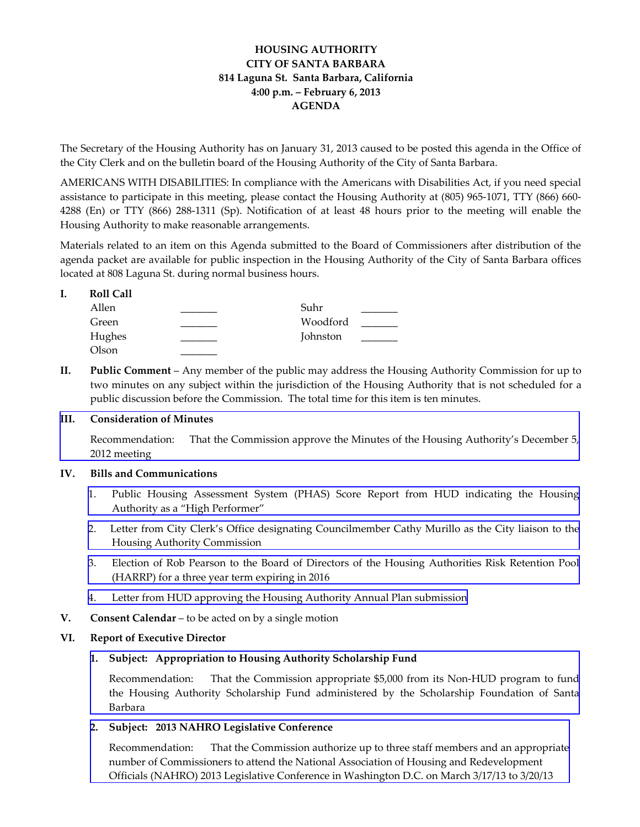# **HOUSING AUTHORITY CITY OF SANTA BARBARA 814 Laguna St. Santa Barbara, California 4:00 p.m. – February 6, 2013 AGENDA**

The Secretary of the Housing Authority has on January 31, 2013 caused to be posted this agenda in the Office of the City Clerk and on the bulletin board of the Housing Authority of the City of Santa Barbara.

AMERICANS WITH DISABILITIES: In compliance with the Americans with Disabilities Act, if you need special assistance to participate in this meeting, please contact the Housing Authority at (805) 965-1071, TTY (866) 660-4288 (En) or TTY (866) 288‐1311 (Sp). Notification of at least 48 hours prior to the meeting will enable the Housing Authority to make reasonable arrangements.

Materials related to an item on this Agenda submitted to the Board of Commissioners after distribution of the agenda packet are available for public inspection in the Housing Authority of the City of Santa Barbara offices located at 808 Laguna St. during normal business hours.

| Allen  | Suhr     |  |
|--------|----------|--|
| Green  | Woodford |  |
| Hughes | Johnston |  |
| Olson  |          |  |

**II. Public Comment** – Any member of the public may address the Housing Authority Commission for up to two minutes on any subject within the jurisdiction of the Housing Authority that is not scheduled for a public discussion before the Commission. The total time for this item is ten minutes.

## **III. Consideration of Minutes**

[Recommendation:](http://www.hacsb.org/Library/agendas_minutes/2013/agenda_packet/Agenda_Packet_2013_02_06/item_III_I_2013_02_06.pdf) That the Commission approve the Minutes of the Housing Authority's December 5, 2012 meeting

#### **IV. Bills and Communications**

- 1. Public Housing [Assessment](http://www.hacsb.org/Library/agendas_minutes/2013/agenda_packet/Agenda_Packet_2013_02_06/item_IV_I_2013_02_06.pdf) System (PHAS) Score Report from HUD indicating the Housing Authority as a "High Performer"
- 2. Letter from City Clerk's Office designating [Councilmember](http://www.hacsb.org/Library/agendas_minutes/2013/agenda_packet/Agenda_Packet_2013_02_06/item_IV_II_2013_02_06.pdf) Cathy Murillo as the City liaison to the Housing Authority Commission
- 3. Election of Rob Pearson to the Board of Directors of the Housing [Authorities](http://www.hacsb.org/Library/agendas_minutes/2013/agenda_packet/Agenda_Packet_2013_02_06/item_IV_III_2013_02_06.pdf) Risk Retention Pool (HARRP) for a three year term expiring in 2016
- 4. Letter from HUD approving the Housing Authority Annual Plan [submission](http://www.hacsb.org/Library/agendas_minutes/2013/agenda_packet/Agenda_Packet_2013_02_06/item_IV_IV_2013_02_06.pdf)
- **V. Consent Calendar** to be acted on by a single motion

## **VI. Report of Executive Director**

## **1. Subject: Appropriation to Housing Authority Scholarship Fund**

[Recommendation:](http://www.hacsb.org/Library/agendas_minutes/2013/agenda_packet/Agenda_Packet_2013_02_06/item_VI_I_2013_02_06.pdf) That the Commission appropriate \$5,000 from its Non‐HUD program to fund the Housing Authority Scholarship Fund administered by the Scholarship Foundation of Santa Barbara

**2. Subject: 2013 NAHRO Legislative Conference**

[Recommendation:](http://www.hacsb.org/Library/agendas_minutes/2013/agenda_packet/Agenda_Packet_2013_02_06/item_VI_II_2013_02_06.pdf) That the Commission authorize up to three staff members and an appropriate number of Commissioners to attend the National Association of Housing and Redevelopment Officials (NAHRO) 2013 Legislative Conference in Washington D.C. on March 3/17/13 to 3/20/13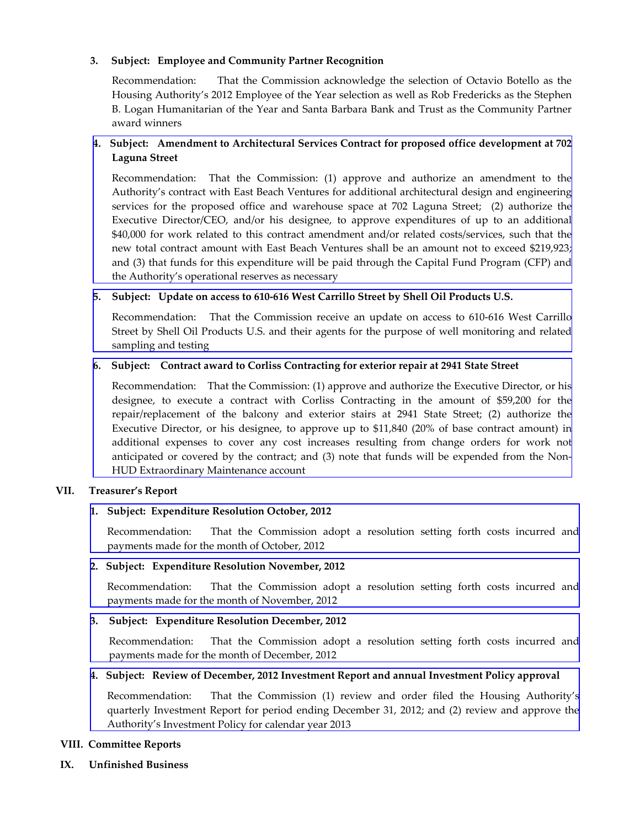## **3. Subject: Employee and Community Partner Recognition**

Recommendation: That the Commission acknowledge the selection of Octavio Botello as the Housing Authority's 2012 Employee of the Year selection as well as Rob Fredericks as the Stephen B. Logan Humanitarian of the Year and Santa Barbara Bank and Trust as the Community Partner award winners

# **4. Subject: Amendment to Architectural Services Contract for proposed office development at 702 Laguna Street**

[Recommendation:](http://www.hacsb.org/Library/agendas_minutes/2013/agenda_packet/Agenda_Packet_2013_02_06/item_VI_IV_2013_02_06.pdf) That the Commission: (1) approve and authorize an amendment to the Authority's contract with East Beach Ventures for additional architectural design and engineering services for the proposed office and warehouse space at 702 Laguna Street; (2) authorize the Executive Director/CEO, and/or his designee, to approve expenditures of up to an additional \$40,000 for work related to this contract amendment and/or related costs/services, such that the new total contract amount with East Beach Ventures shall be an amount not to exceed \$219,923; and (3) that funds for this expenditure will be paid through the Capital Fund Program (CFP) and the Authority's operational reserves as necessary

### 5. Subject: Update on access to 610-616 West Carrillo Street by Shell Oil Products U.S.

[Recommendation:](http://www.hacsb.org/Library/agendas_minutes/2013/agenda_packet/Agenda_Packet_2013_02_06/item_VI_V_2013_02_06.pdf) That the Commission receive an update on access to 610‐616 West Carrillo Street by Shell Oil Products U.S. and their agents for the purpose of well monitoring and related sampling and testing

### **6. Subject: Contract award to Corliss Contracting for exterior repair at 2941 State Street**

Recommendation: That the Commission: (1) approve and authorize the Executive Director, or his designee, to execute a contract with Corliss Contracting in the amount of \$59,200 for the [repair/replacement](http://www.hacsb.org/Library/agendas_minutes/2013/agenda_packet/Agenda_Packet_2013_02_06/item_VI_VI_2013_02_06.pdf) of the balcony and exterior stairs at 2941 State Street; (2) authorize the Executive Director, or his designee, to approve up to \$11,840 (20% of base contract amount) in additional expenses to cover any cost increases resulting from change orders for work not anticipated or covered by the contract; and (3) note that funds will be expended from the Non-HUD Extraordinary Maintenance account

## **VII. Treasurer's Report**

## **1. Subject: Expenditure Resolution October, 2012**

[Recommendation:](http://www.hacsb.org/Library/agendas_minutes/2013/agenda_packet/Agenda_Packet_2013_02_06/item_VII_I_2013_02_06.pdf) That the Commission adopt a resolution setting forth costs incurred and payments made for the month of October, 2012

#### **2. Subject: Expenditure Resolution November, 2012**

[Recommendation:](http://www.hacsb.org/Library/agendas_minutes/2013/agenda_packet/Agenda_Packet_2013_02_06/item_VII_II_2013_02_06.pdf) That the Commission adopt a resolution setting forth costs incurred and payments made for the month of November, 2012

#### **3. Subject: Expenditure Resolution December, 2012**

[Recommendation:](http://www.hacsb.org/Library/agendas_minutes/2013/agenda_packet/Agenda_Packet_2013_02_06/item_VII_III_2013_02_06.pdf) That the Commission adopt a resolution setting forth costs incurred and payments made for the month of December, 2012

#### **4. Subject: Review of December, 2012 Investment Report and annual Investment Policy approval**

[Recommendation:](http://www.hacsb.org/Library/agendas_minutes/2013/agenda_packet/Agenda_Packet_2013_02_06/item_VII_IV_2013_02_06.pdf) That the Commission (1) review and order filed the Housing Authority's quarterly Investment Report for period ending December 31, 2012; and (2) review and approve the Authority's Investment Policy for calendar year 2013

#### **VIII. Committee Reports**

**IX. Unfinished Business**